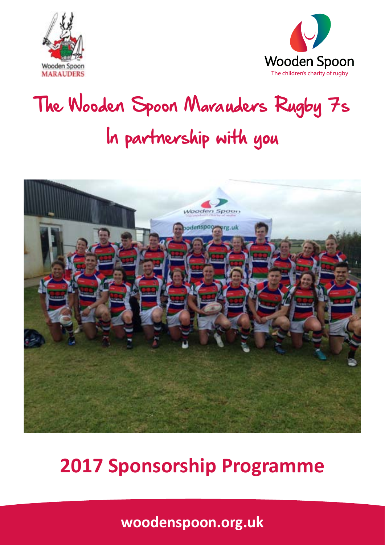



# The Wooden Spoon Marauders Rugby 7s In partnership with you



#### **2017 Sponsorship Programme**

**woodenspoon.org.uk**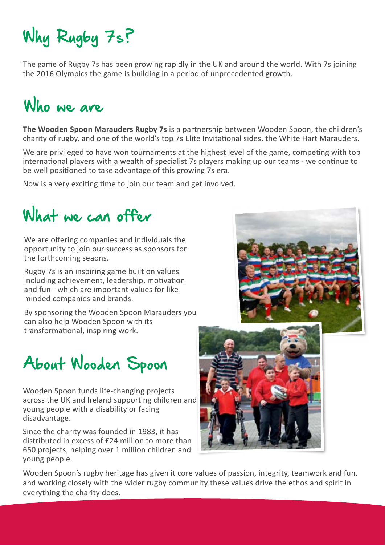### Why Rugby 7s?

The game of Rugby 7s has been growing rapidly in the UK and around the world. With 7s joining the 2016 Olympics the game is building in a period of unprecedented growth.

### Who we are

**The Wooden Spoon Marauders Rugby 7s** is a partnership between Wooden Spoon, the children's charity of rugby, and one of the world's top 7s Elite Invitational sides, the White Hart Marauders.

We are privileged to have won tournaments at the highest level of the game, competing with top international players with a wealth of specialist 7s players making up our teams - we continue to be well positioned to take advantage of this growing 7s era.

Now is a very exciting time to join our team and get involved.

#### What we can offer

We are offering companies and individuals the opportunity to join our success as sponsors for the forthcoming seaons.

Rugby 7s is an inspiring game built on values including achievement, leadership, motivation and fun - which are important values for like minded companies and brands.

By sponsoring the Wooden Spoon Marauders you can also help Wooden Spoon with its transformational, inspiring work.

#### About Wooden Spoon

Wooden Spoon funds life-changing projects across the UK and Ireland supporting children and young people with a disability or facing disadvantage.

Since the charity was founded in 1983, it has distributed in excess of £24 million to more than 650 projects, helping over 1 million children and young people.



Wooden Spoon's rugby heritage has given it core values of passion, integrity, teamwork and fun, and working closely with the wider rugby community these values drive the ethos and spirit in everything the charity does.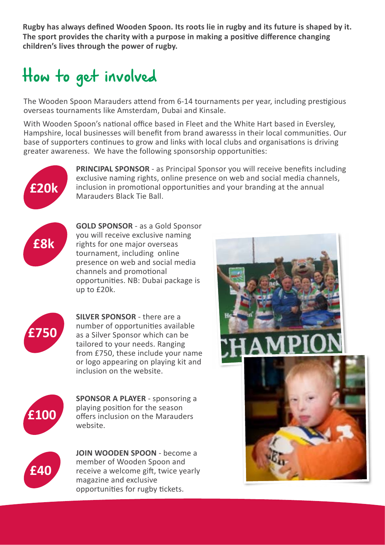**Rugby has always defined Wooden Spoon. Its roots lie in rugby and its future is shaped by it. The sport provides the charity with a purpose in making a positive difference changing children's lives through the power of rugby.** 

#### How to get involved

The Wooden Spoon Marauders attend from 6-14 tournaments per year, including prestigious overseas tournaments like Amsterdam, Dubai and Kinsale.

With Wooden Spoon's national office based in Fleet and the White Hart based in Eversley, Hampshire, local businesses will benefit from brand awaresss in their local communities. Our base of supporters continues to grow and links with local clubs and organisations is driving greater awareness. We have the following sponsorship opportunities:



**PRINCIPAL SPONSOR** - as Principal Sponsor you will receive benefits including exclusive naming rights, online presence on web and social media channels, inclusion in promotional opportunities and your branding at the annual Marauders Black Tie Ball.



**GOLD SPONSOR** - as a Gold Sponsor you will receive exclusive naming rights for one major overseas tournament, including online presence on web and social media channels and promotional opportunities. NB: Dubai package is up to £20k.



**SILVER SPONSOR** - there are a number of opportunities available as a Silver Sponsor which can be tailored to your needs. Ranging from £750, these include your name or logo appearing on playing kit and inclusion on the website.



**SPONSOR A PLAYER** - sponsoring a playing position for the season offers inclusion on the Marauders website.



**JOIN WOODEN SPOON** - become a member of Wooden Spoon and receive a welcome gift, twice yearly magazine and exclusive opportunities for rugby tickets.